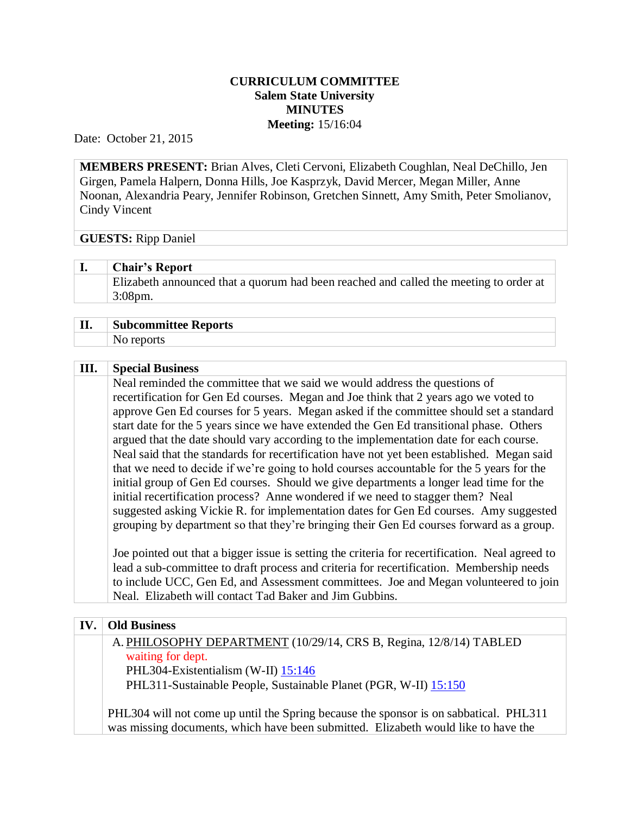## **CURRICULUM COMMITTEE Salem State University MINUTES Meeting:** 15/16:04

Date: October 21, 2015

**MEMBERS PRESENT:** Brian Alves, Cleti Cervoni, Elizabeth Coughlan, Neal DeChillo, Jen Girgen, Pamela Halpern, Donna Hills, Joe Kasprzyk, David Mercer, Megan Miller, Anne Noonan, Alexandria Peary, Jennifer Robinson, Gretchen Sinnett, Amy Smith, Peter Smolianov, Cindy Vincent

## **GUESTS:** Ripp Daniel

| <b>Chair's Report</b>                                                                 |
|---------------------------------------------------------------------------------------|
| Elizabeth announced that a quorum had been reached and called the meeting to order at |
| $3:08$ pm.                                                                            |

| П. | <b>Subcommittee Reports</b> |
|----|-----------------------------|
|    | No reports                  |

## **III. Special Business**

Neal reminded the committee that we said we would address the questions of recertification for Gen Ed courses. Megan and Joe think that 2 years ago we voted to approve Gen Ed courses for 5 years. Megan asked if the committee should set a standard start date for the 5 years since we have extended the Gen Ed transitional phase. Others argued that the date should vary according to the implementation date for each course. Neal said that the standards for recertification have not yet been established. Megan said that we need to decide if we're going to hold courses accountable for the 5 years for the initial group of Gen Ed courses. Should we give departments a longer lead time for the initial recertification process? Anne wondered if we need to stagger them? Neal suggested asking Vickie R. for implementation dates for Gen Ed courses. Amy suggested grouping by department so that they're bringing their Gen Ed courses forward as a group.

Joe pointed out that a bigger issue is setting the criteria for recertification. Neal agreed to lead a sub-committee to draft process and criteria for recertification. Membership needs to include UCC, Gen Ed, and Assessment committees. Joe and Megan volunteered to join Neal. Elizabeth will contact Tad Baker and Jim Gubbins.

| IV. | <b>Old Business</b>                                                                   |
|-----|---------------------------------------------------------------------------------------|
|     | A. PHILOSOPHY DEPARTMENT (10/29/14, CRS B, Regina, 12/8/14) TABLED                    |
|     | waiting for dept.                                                                     |
|     | PHL304-Existentialism (W-II) 15:146                                                   |
|     | PHL311-Sustainable People, Sustainable Planet (PGR, W-II) 15:150                      |
|     |                                                                                       |
|     | PHL304 will not come up until the Spring because the sponsor is on sabbatical. PHL311 |
|     | was missing documents, which have been submitted. Elizabeth would like to have the    |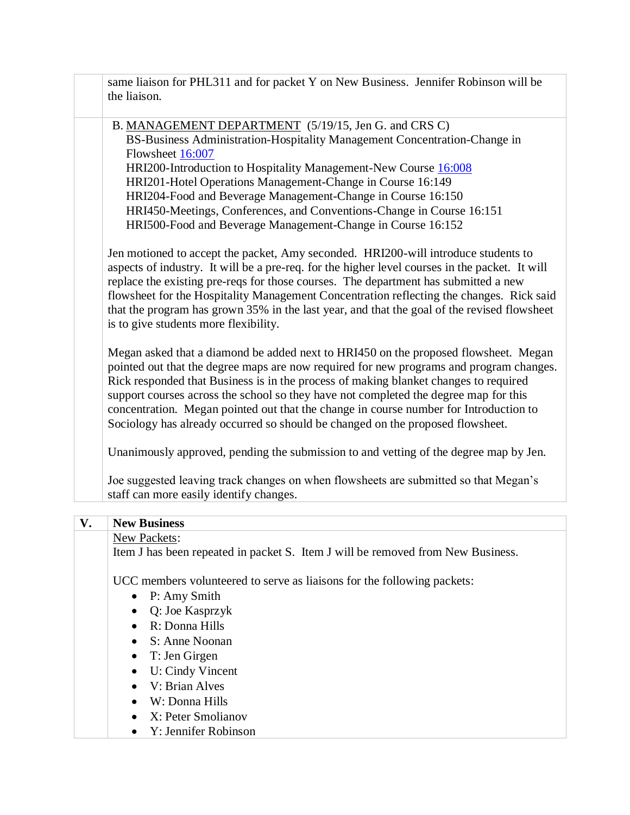|    | same liaison for PHL311 and for packet Y on New Business. Jennifer Robinson will be                                               |
|----|-----------------------------------------------------------------------------------------------------------------------------------|
|    | the liaison.                                                                                                                      |
|    |                                                                                                                                   |
|    | B. MANAGEMENT DEPARTMENT (5/19/15, Jen G. and CRS C)<br>BS-Business Administration-Hospitality Management Concentration-Change in |
|    | Flowsheet 16:007                                                                                                                  |
|    | HRI200-Introduction to Hospitality Management-New Course 16:008                                                                   |
|    | HRI201-Hotel Operations Management-Change in Course 16:149                                                                        |
|    | HRI204-Food and Beverage Management-Change in Course 16:150                                                                       |
|    | HRI450-Meetings, Conferences, and Conventions-Change in Course 16:151                                                             |
|    | HRI500-Food and Beverage Management-Change in Course 16:152                                                                       |
|    |                                                                                                                                   |
|    | Jen motioned to accept the packet, Amy seconded. HRI200-will introduce students to                                                |
|    | aspects of industry. It will be a pre-req. for the higher level courses in the packet. It will                                    |
|    | replace the existing pre-reqs for those courses. The department has submitted a new                                               |
|    | flowsheet for the Hospitality Management Concentration reflecting the changes. Rick said                                          |
|    | that the program has grown 35% in the last year, and that the goal of the revised flowsheet                                       |
|    | is to give students more flexibility.                                                                                             |
|    | Megan asked that a diamond be added next to HRI450 on the proposed flowsheet. Megan                                               |
|    | pointed out that the degree maps are now required for new programs and program changes.                                           |
|    | Rick responded that Business is in the process of making blanket changes to required                                              |
|    | support courses across the school so they have not completed the degree map for this                                              |
|    | concentration. Megan pointed out that the change in course number for Introduction to                                             |
|    | Sociology has already occurred so should be changed on the proposed flowsheet.                                                    |
|    |                                                                                                                                   |
|    | Unanimously approved, pending the submission to and vetting of the degree map by Jen.                                             |
|    |                                                                                                                                   |
|    | Joe suggested leaving track changes on when flowsheets are submitted so that Megan's<br>staff can more easily identify changes.   |
|    |                                                                                                                                   |
| V. | <b>New Business</b>                                                                                                               |
|    | <b>New Packets:</b>                                                                                                               |
|    | Item J has been repeated in packet S. Item J will be removed from New Business.                                                   |
|    |                                                                                                                                   |
|    | UCC members volunteered to serve as liaisons for the following packets:                                                           |
|    | P: Amy Smith<br>٠                                                                                                                 |
|    | Q: Joe Kasprzyk                                                                                                                   |
|    | R: Donna Hills<br>$\bullet$                                                                                                       |
|    | S: Anne Noonan<br>$\bullet$                                                                                                       |
|    | T: Jen Girgen<br>٠                                                                                                                |
|    | U: Cindy Vincent<br>٠                                                                                                             |
|    | V: Brian Alves                                                                                                                    |
|    | W: Donna Hills                                                                                                                    |
|    | X: Peter Smolianov                                                                                                                |

• Y: Jennifer Robinson